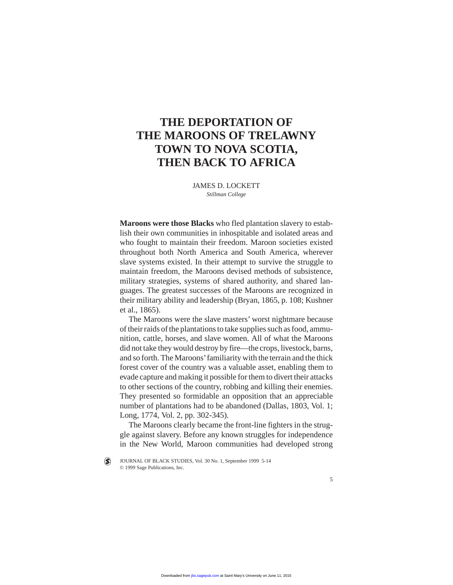# **THE DEPORTATION OF THE MAROONS OF TRELAWNY TOWN TO NOVA SCOTIA, THEN BACK TO AFRICA**

JAMES D. LOCKETT *Stillman College*

**Maroons were those Blacks** who fled plantation slavery to establish their own communities in inhospitable and isolated areas and who fought to maintain their freedom. Maroon societies existed throughout both North America and South America, wherever slave systems existed. In their attempt to survive the struggle to maintain freedom, the Maroons devised methods of subsistence, military strategies, systems of shared authority, and shared languages. The greatest successes of the Maroons are recognized in their military ability and leadership (Bryan, 1865, p. 108; Kushner et al., 1865).

The Maroons were the slave masters' worst nightmare because of their raids of the plantations to take supplies such as food, ammunition, cattle, horses, and slave women. All of what the Maroons did not take they would destroy by fire—the crops, livestock, barns, and so forth. The Maroons'familiarity with the terrain and the thick forest cover of the country was a valuable asset, enabling them to evade capture and making it possible for them to divert their attacks to other sections of the country, robbing and killing their enemies. They presented so formidable an opposition that an appreciable number of plantations had to be abandoned (Dallas, 1803, Vol. 1; Long, 1774, Vol. 2, pp. 302-345).

The Maroons clearly became the front-line fighters in the struggle against slavery. Before any known struggles for independence in the New World, Maroon communities had developed strong

JOURNAL OF BLACK STUDIES, Vol. 30 No. 1, September 1999 5-14  $\left( \blacklozenge \right)$ © 1999 Sage Publications, Inc.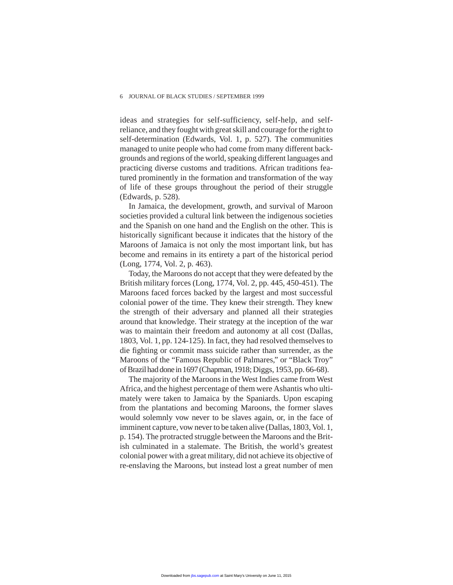ideas and strategies for self-sufficiency, self-help, and selfreliance, and they fought with great skill and courage for the right to self-determination (Edwards, Vol. 1, p. 527). The communities managed to unite people who had come from many different backgrounds and regions of the world, speaking different languages and practicing diverse customs and traditions. African traditions featured prominently in the formation and transformation of the way of life of these groups throughout the period of their struggle (Edwards, p. 528).

In Jamaica, the development, growth, and survival of Maroon societies provided a cultural link between the indigenous societies and the Spanish on one hand and the English on the other. This is historically significant because it indicates that the history of the Maroons of Jamaica is not only the most important link, but has become and remains in its entirety a part of the historical period (Long, 1774, Vol. 2, p. 463).

Today, the Maroons do not accept that they were defeated by the British military forces (Long, 1774, Vol. 2, pp. 445, 450-451). The Maroons faced forces backed by the largest and most successful colonial power of the time. They knew their strength. They knew the strength of their adversary and planned all their strategies around that knowledge. Their strategy at the inception of the war was to maintain their freedom and autonomy at all cost (Dallas, 1803, Vol. 1, pp. 124-125). In fact, they had resolved themselves to die fighting or commit mass suicide rather than surrender, as the Maroons of the "Famous Republic of Palmares," or "Black Troy" of Brazilhad done in 1697 (Chapman, 1918; Diggs, 1953, pp. 66-68).

The majority of the Maroons in the West Indies came from West Africa, and the highest percentage of them were Ashantis who ultimately were taken to Jamaica by the Spaniards. Upon escaping from the plantations and becoming Maroons, the former slaves would solemnly vow never to be slaves again, or, in the face of imminent capture, vow never to be taken alive (Dallas, 1803, Vol. 1, p. 154). The protracted struggle between the Maroons and the British culminated in a stalemate. The British, the world's greatest colonial power with a great military, did not achieve its objective of re-enslaving the Maroons, but instead lost a great number of men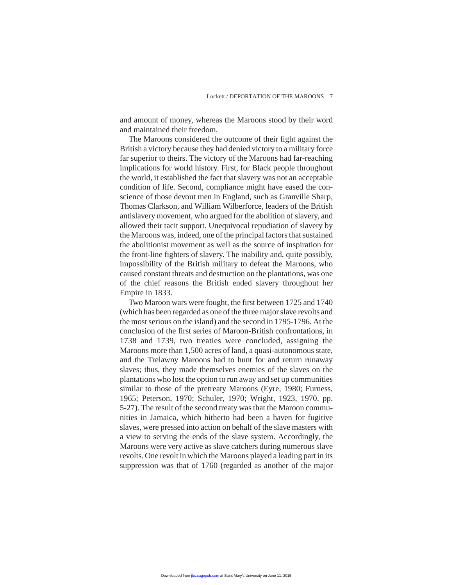and amount of money, whereas the Maroons stood by their word and maintained their freedom.

The Maroons considered the outcome of their fight against the British a victory because they had denied victory to a military force far superior to theirs. The victory of the Maroons had far-reaching implications for world history. First, for Black people throughout the world, it established the fact that slavery was not an acceptable condition of life. Second, compliance might have eased the conscience of those devout men in England, such as Granville Sharp, Thomas Clarkson, and William Wilberforce, leaders of the British antislavery movement, who argued for the abolition of slavery, and allowed their tacit support. Unequivocal repudiation of slavery by the Maroons was, indeed, one of the principal factors that sustained the abolitionist movement as well as the source of inspiration for the front-line fighters of slavery. The inability and, quite possibly, impossibility of the British military to defeat the Maroons, who caused constant threats and destruction on the plantations, was one of the chief reasons the British ended slavery throughout her Empire in 1833.

Two Maroon wars were fought, the first between 1725 and 1740 (which has been regarded as one of the three major slave revolts and the most serious on the island) and the second in 1795-1796. At the conclusion of the first series of Maroon-British confrontations, in 1738 and 1739, two treaties were concluded, assigning the Maroons more than 1,500 acres of land, a quasi-autonomous state, and the Trelawny Maroons had to hunt for and return runaway slaves; thus, they made themselves enemies of the slaves on the plantations who lost the option to run away and set up communities similar to those of the pretreaty Maroons (Eyre, 1980; Furness, 1965; Peterson, 1970; Schuler, 1970; Wright, 1923, 1970, pp. 5-27). The result of the second treaty was that the Maroon communities in Jamaica, which hitherto had been a haven for fugitive slaves, were pressed into action on behalf of the slave masters with a view to serving the ends of the slave system. Accordingly, the Maroons were very active as slave catchers during numerous slave revolts. One revolt in which the Maroons played a leading part in its suppression was that of 1760 (regarded as another of the major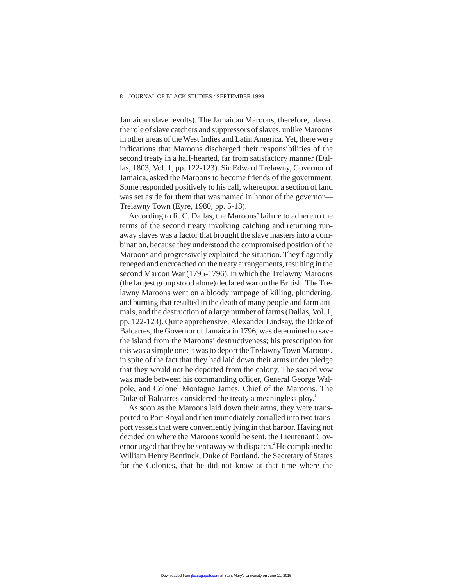Jamaican slave revolts). The Jamaican Maroons, therefore, played the role of slave catchers and suppressors of slaves, unlike Maroons in other areas of the West Indies and Latin America. Yet, there were indications that Maroons discharged their responsibilities of the second treaty in a half-hearted, far from satisfactory manner (Dallas, 1803, Vol. 1, pp. 122-123). Sir Edward Trelawny, Governor of Jamaica, asked the Maroons to become friends of the government. Some responded positively to his call, whereupon a section of land was set aside for them that was named in honor of the governor— Trelawny Town (Eyre, 1980, pp. 5-18).

According to R. C. Dallas, the Maroons' failure to adhere to the terms of the second treaty involving catching and returning runaway slaves was a factor that brought the slave masters into a combination, because they understood the compromised position of the Maroons and progressively exploited the situation. They flagrantly reneged and encroached on the treaty arrangements, resulting in the second Maroon War (1795-1796), in which the Trelawny Maroons (the largest group stood alone) declared war on the British. The Trelawny Maroons went on a bloody rampage of killing, plundering, and burning that resulted in the death of many people and farm animals, and the destruction of a large number of farms (Dallas, Vol. 1, pp. 122-123). Quite apprehensive, Alexander Lindsay, the Duke of Balcarres, the Governor of Jamaica in 1796, was determined to save the island from the Maroons' destructiveness; his prescription for this was a simple one: it was to deport the Trelawny Town Maroons, in spite of the fact that they had laid down their arms under pledge that they would not be deported from the colony. The sacred vow was made between his commanding officer, General George Walpole, and Colonel Montague James, Chief of the Maroons. The Duke of Balcarres considered the treaty a meaningless ploy.<sup>1</sup>

As soon as the Maroons laid down their arms, they were transported to Port Royal and then immediately corralled into two transport vessels that were conveniently lying in that harbor. Having not decided on where the Maroons would be sent, the Lieutenant Governor urged that they be sent away with dispatch.<sup>2</sup> He complained to William Henry Bentinck, Duke of Portland, the Secretary of States for the Colonies, that he did not know at that time where the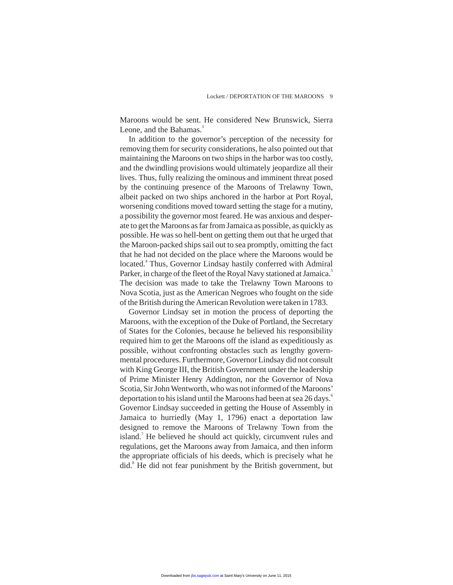Maroons would be sent. He considered New Brunswick, Sierra Leone, and the Bahamas.<sup>3</sup>

In addition to the governor's perception of the necessity for removing them for security considerations, he also pointed out that maintaining the Maroons on two ships in the harbor was too costly, and the dwindling provisions would ultimately jeopardize all their lives. Thus, fully realizing the ominous and imminent threat posed by the continuing presence of the Maroons of Trelawny Town, albeit packed on two ships anchored in the harbor at Port Royal, worsening conditions moved toward setting the stage for a mutiny, a possibility the governor most feared. He was anxious and desperate to get the Maroons as far from Jamaica as possible, as quickly as possible. He was so hell-bent on getting them out that he urged that the Maroon-packed ships sail out to sea promptly, omitting the fact that he had not decided on the place where the Maroons would be located.<sup>4</sup> Thus, Governor Lindsay hastily conferred with Admiral Parker, in charge of the fleet of the Royal Navy stationed at Jamaica.<sup>5</sup> The decision was made to take the Trelawny Town Maroons to Nova Scotia, just as the American Negroes who fought on the side of the British during the American Revolution were taken in 1783.

Governor Lindsay set in motion the process of deporting the Maroons, with the exception of the Duke of Portland, the Secretary of States for the Colonies, because he believed his responsibility required him to get the Maroons off the island as expeditiously as possible, without confronting obstacles such as lengthy governmental procedures. Furthermore, Governor Lindsay did not consult with King George III, the British Government under the leadership of Prime Minister Henry Addington, nor the Governor of Nova Scotia, Sir John Wentworth, who was not informed of the Maroons' deportation to his island until the Maroons had been at sea 26 days.<sup>6</sup> Governor Lindsay succeeded in getting the House of Assembly in Jamaica to hurriedly (May 1, 1796) enact a deportation law designed to remove the Maroons of Trelawny Town from the island.<sup>7</sup> He believed he should act quickly, circumvent rules and regulations, get the Maroons away from Jamaica, and then inform the appropriate officials of his deeds, which is precisely what he did.<sup>8</sup> He did not fear punishment by the British government, but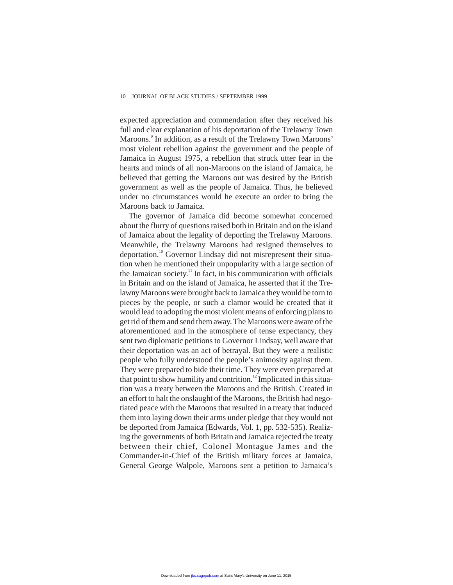expected appreciation and commendation after they received his full and clear explanation of his deportation of the Trelawny Town Maroons.<sup>9</sup> In addition, as a result of the Trelawny Town Maroons' most violent rebellion against the government and the people of Jamaica in August 1975, a rebellion that struck utter fear in the hearts and minds of all non-Maroons on the island of Jamaica, he believed that getting the Maroons out was desired by the British government as well as the people of Jamaica. Thus, he believed under no circumstances would he execute an order to bring the Maroons back to Jamaica.

The governor of Jamaica did become somewhat concerned about the flurry of questions raised both in Britain and on the island of Jamaica about the legality of deporting the Trelawny Maroons. Meanwhile, the Trelawny Maroons had resigned themselves to deportation.<sup>10</sup> Governor Lindsay did not misrepresent their situation when he mentioned their unpopularity with a large section of the Jamaican society.<sup>11</sup> In fact, in his communication with officials in Britain and on the island of Jamaica, he asserted that if the Trelawny Maroons were brought back to Jamaica they would be torn to pieces by the people, or such a clamor would be created that it would lead to adopting the most violent means of enforcing plans to get rid of them and send them away. The Maroons were aware of the aforementioned and in the atmosphere of tense expectancy, they sent two diplomatic petitions to Governor Lindsay, well aware that their deportation was an act of betrayal. But they were a realistic people who fully understood the people's animosity against them. They were prepared to bide their time. They were even prepared at that point to show humility and contrition.<sup>12</sup> Implicated in this situation was a treaty between the Maroons and the British. Created in an effort to halt the onslaught of the Maroons, the British had negotiated peace with the Maroons that resulted in a treaty that induced them into laying down their arms under pledge that they would not be deported from Jamaica (Edwards, Vol. 1, pp. 532-535). Realizing the governments of both Britain and Jamaica rejected the treaty between their chief, Colonel Montague James and the Commander-in-Chief of the British military forces at Jamaica, General George Walpole, Maroons sent a petition to Jamaica's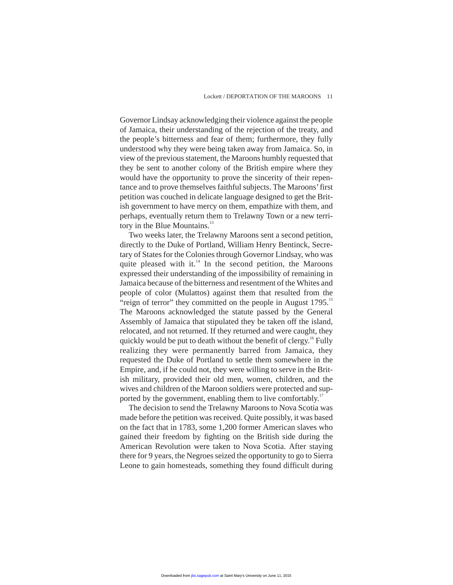Governor Lindsay acknowledging their violence against the people of Jamaica, their understanding of the rejection of the treaty, and the people's bitterness and fear of them; furthermore, they fully understood why they were being taken away from Jamaica. So, in view of the previous statement, the Maroons humbly requested that they be sent to another colony of the British empire where they would have the opportunity to prove the sincerity of their repentance and to prove themselves faithful subjects. The Maroons' first petition was couched in delicate language designed to get the British government to have mercy on them, empathize with them, and perhaps, eventually return them to Trelawny Town or a new territory in the Blue Mountains.<sup>13</sup>

Two weeks later, the Trelawny Maroons sent a second petition, directly to the Duke of Portland, William Henry Bentinck, Secretary of States for the Colonies through Governor Lindsay, who was quite pleased with it. $^{14}$  In the second petition, the Maroons expressed their understanding of the impossibility of remaining in Jamaica because of the bitterness and resentment of the Whites and people of color (Mulattos) against them that resulted from the "reign of terror" they committed on the people in August 1795.<sup>15</sup> The Maroons acknowledged the statute passed by the General Assembly of Jamaica that stipulated they be taken off the island, relocated, and not returned. If they returned and were caught, they quickly would be put to death without the benefit of clergy.<sup>16</sup> Fully realizing they were permanently barred from Jamaica, they requested the Duke of Portland to settle them somewhere in the Empire, and, if he could not, they were willing to serve in the British military, provided their old men, women, children, and the wives and children of the Maroon soldiers were protected and supported by the government, enabling them to live comfortably.<sup>17</sup>

The decision to send the Trelawny Maroons to Nova Scotia was made before the petition was received. Quite possibly, it was based on the fact that in 1783, some 1,200 former American slaves who gained their freedom by fighting on the British side during the American Revolution were taken to Nova Scotia. After staying there for 9 years, the Negroes seized the opportunity to go to Sierra Leone to gain homesteads, something they found difficult during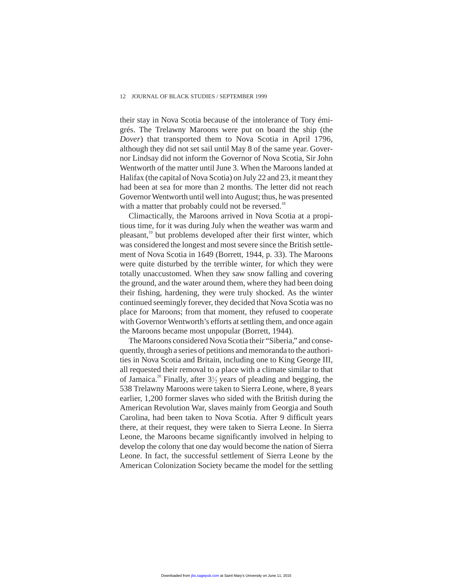their stay in Nova Scotia because of the intolerance of Tory émigrés. The Trelawny Maroons were put on board the ship (the *Dover*) that transported them to Nova Scotia in April 1796, although they did not set sail until May 8 of the same year. Governor Lindsay did not inform the Governor of Nova Scotia, Sir John Wentworth of the matter until June 3. When the Maroons landed at Halifax (the capital of Nova Scotia) on July 22 and 23, it meant they had been at sea for more than 2 months. The letter did not reach Governor Wentworth until well into August; thus, he was presented with a matter that probably could not be reversed.<sup>18</sup>

Climactically, the Maroons arrived in Nova Scotia at a propitious time, for it was during July when the weather was warm and pleasant,<sup>19</sup> but problems developed after their first winter, which was considered the longest and most severe since the British settlement of Nova Scotia in 1649 (Borrett, 1944, p. 33). The Maroons were quite disturbed by the terrible winter, for which they were totally unaccustomed. When they saw snow falling and covering the ground, and the water around them, where they had been doing their fishing, hardening, they were truly shocked. As the winter continued seemingly forever, they decided that Nova Scotia was no place for Maroons; from that moment, they refused to cooperate with Governor Wentworth's efforts at settling them, and once again the Maroons became most unpopular (Borrett, 1944).

The Maroons considered Nova Scotia their "Siberia," and consequently, through a series of petitions and memoranda to the authorities in Nova Scotia and Britain, including one to King George III, all requested their removal to a place with a climate similar to that of Jamaica.<sup>20</sup> Finally, after  $3\frac{1}{2}$  years of pleading and begging, the 538 Trelawny Maroons were taken to Sierra Leone, where, 8 years earlier, 1,200 former slaves who sided with the British during the American Revolution War, slaves mainly from Georgia and South Carolina, had been taken to Nova Scotia. After 9 difficult years there, at their request, they were taken to Sierra Leone. In Sierra Leone, the Maroons became significantly involved in helping to develop the colony that one day would become the nation of Sierra Leone. In fact, the successful settlement of Sierra Leone by the American Colonization Society became the model for the settling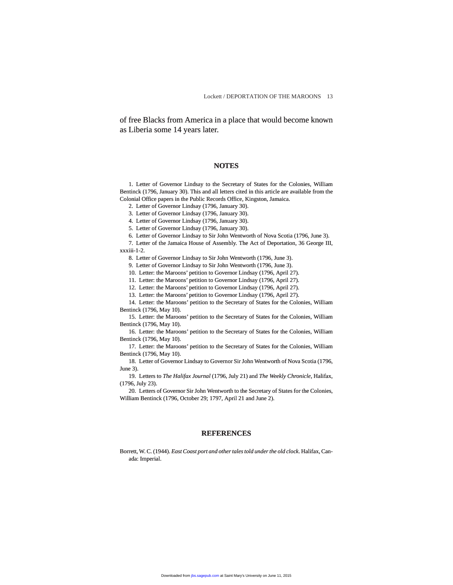of free Blacks from America in a place that would become known as Liberia some 14 years later.

## **NOTES**

1. Letter of Governor Lindsay to the Secretary of States for the Colonies, William Bentinck (1796, January 30). This and all letters cited in this article are available from the Colonial Office papers in the Public Records Office, Kingston, Jamaica.

2. Letter of Governor Lindsay (1796, January 30).

3. Letter of Governor Lindsay (1796, January 30).

4. Letter of Governor Lindsay (1796, January 30).

5. Letter of Governor Lindsay (1796, January 30).

6. Letter of Governor Lindsay to Sir John Wentworth of Nova Scotia (1796, June 3).

7. Letter of the Jamaica House of Assembly. The Act of Deportation, 36 George III, xxxiii-1-2.

8. Letter of Governor Lindsay to Sir John Wentworth (1796, June 3).

9. Letter of Governor Lindsay to Sir John Wentworth (1796, June 3).

10. Letter: the Maroons' petition to Governor Lindsay (1796, April 27).

11. Letter: the Maroons' petition to Governor Lindsay (1796, April 27).

12. Letter: the Maroons' petition to Governor Lindsay (1796, April 27).

13. Letter: the Maroons' petition to Governor Lindsay (1796, April 27).

14. Letter: the Maroons' petition to the Secretary of States for the Colonies, William Bentinck (1796, May 10).

15. Letter: the Maroons' petition to the Secretary of States for the Colonies, William Bentinck (1796, May 10).

16. Letter: the Maroons' petition to the Secretary of States for the Colonies, William Bentinck (1796, May 10).

17. Letter: the Maroons' petition to the Secretary of States for the Colonies, William Bentinck (1796, May 10).

18. Letter of Governor Lindsay to Governor Sir John Wentworth of Nova Scotia (1796, June 3).

19. Letters to *The Halifax Journal* (1796, July 21) and *The Weekly Chronicle*, Halifax, (1796, July 23).

20. Letters of Governor Sir John Wentworth to the Secretary of States for the Colonies, William Bentinck (1796, October 29; 1797, April 21 and June 2).

### **REFERENCES**

Borrett, W. C. (1944). *East Coast port and other tales told under the old clock*. Halifax, Canada: Imperial.